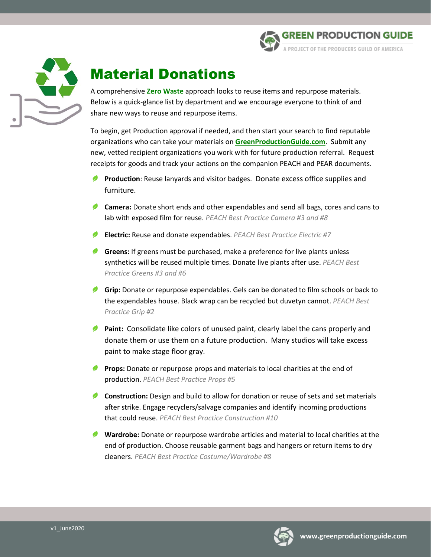



# Material Donations

A comprehensive **Zero Waste** approach looks to reuse items and repurpose materials. Below is a quick-glance list by department and we encourage everyone to think of and share new ways to reuse and repurpose items.

To begin, get Production approval if needed, and then start your search to find reputable organizations who can take your materials on **[GreenProductionGuide.com](http://www.greenproductionguide.com/)**. Submit any new, vetted recipient organizations you work with for future production referral. Request receipts for goods and track your actions on the companion PEACH and PEAR documents.

- **Production**: Reuse lanyards and visitor badges. Donate excess office supplies and furniture.
- **Camera:** Donate short ends and other expendables and send all bags, cores and cans to lab with exposed film for reuse. *PEACH Best Practice Camera #3 and #8*
- **Electric:** Reuse and donate expendables. *PEACH Best Practice Electric #7*
- **Greens:** If greens must be purchased, make a preference for live plants unless synthetics will be reused multiple times. Donate live plants after use. *PEACH Best Practice Greens #3 and #6*
- **Grip:** Donate or repurpose expendables. Gels can be donated to film schools or back to the expendables house. Black wrap can be recycled but duvetyn cannot. *PEACH Best Practice Grip #2*
- **Paint:** Consolidate like colors of unused paint, clearly label the cans properly and donate them or use them on a future production. Many studios will take excess paint to make stage floor gray.
- **Props:** Donate or repurpose props and materials to local charities at the end of production. *PEACH Best Practice Props #5*
- **Construction:** Design and build to allow for donation or reuse of sets and set materials after strike. Engage recyclers/salvage companies and identify incoming productions that could reuse. *PEACH Best Practice Construction #10*
- **Wardrobe:** Donate or repurpose wardrobe articles and material to local charities at the end of production. Choose reusable garment bags and hangers or return items to dry cleaners. *PEACH Best Practice Costume/Wardrobe #8*

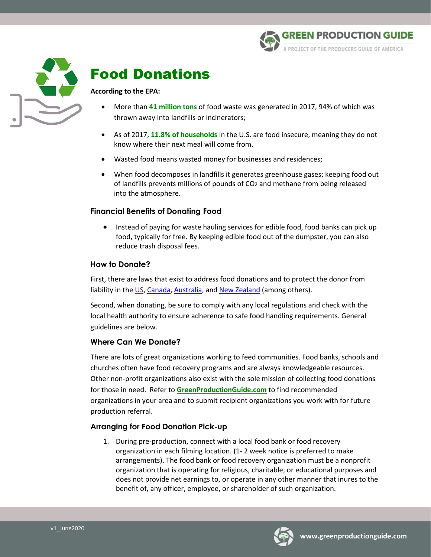



# Food Donations

#### **According to the EPA:**

- More than **41 million tons** of food waste was generated in 2017, 94% of which was thrown away into landfills or incinerators;
- As of 2017, **11.8% of households** in the U.S. are food insecure, meaning they do not know where their next meal will come from.
- Wasted food means wasted money for businesses and residences;
- When food decomposes in landfills it generates greenhouse gases; keeping food out of landfills prevents millions of pounds of CO2 and methane from being released into the atmosphere.

### **Financial Benefits of Donating Food**

• Instead of paying for waste hauling services for edible food, food banks can pick up food, typically for free. By keeping edible food out of the dumpster, you can also reduce trash disposal fees.

#### **How to Donate?**

First, there are laws that exist to address food donations and to protect the donor from liability in the [US,](https://publichealthlawcenter.org/sites/default/files/resources/Liability%20Protection%20Food%20Donation.pdf) [Canada,](https://urldefense.proofpoint.com/v2/url?u=http-3A__www.nzwc.ca_focus_food_guidelines-2Dfor-2Dfood-2Ddonations_Documents_18-2D064-2DFoodDonation-2DLiabilityDoc-2Dv7WEB.pdf&d=DwMFaQ&c=uw6TLu4hwhHdiGJOgwcWD4AjKQx6zvFcGEsbfiY9-EI&r=9CF08jAayv2WDOLrnyPw7A&m=C2CQlmgdtg9m8v0BEdczEiyck2bMZl5HyLKTjbNO9zA&s=JPuDX7v7tynf05epTg8sZgIMvP_OfEoKzghvJUqi-uc&e=) [Australia,](https://www.ozharvest.org/wp-content/uploads/2017/06/Doc005V1-Legal-Information.pdf) an[d New Zealand](http://www.legislation.govt.nz/act/public/2014/0032/latest/DLM5431609.html) (among others).

Second, when donating, be sure to comply with any local regulations and check with the local health authority to ensure adherence to safe food handling requirements. General guidelines are below.

### **Where Can We Donate?**

There are lots of great organizations working to feed communities. Food banks, schools and churches often have food recovery programs and are always knowledgeable resources. Other non-profit organizations also exist with the sole mission of collecting food donations for those in need. Refer to **[GreenProductionGuide.com](http://www.greenproductionguide.com/tools/food-donations/)** to find recommended organizations in your area and to submit recipient organizations you work with for future production referral.

### **Arranging for Food Donation Pick-up**

1. During pre-production, connect with a local food bank or food recovery organization in each filming location. (1- 2 week notice is preferred to make arrangements). The food bank or food recovery organization must be a nonprofit organization that is operating for religious, charitable, or educational purposes and does not provide net earnings to, or operate in any other manner that inures to the benefit of, any officer, employee, or shareholder of such organization.

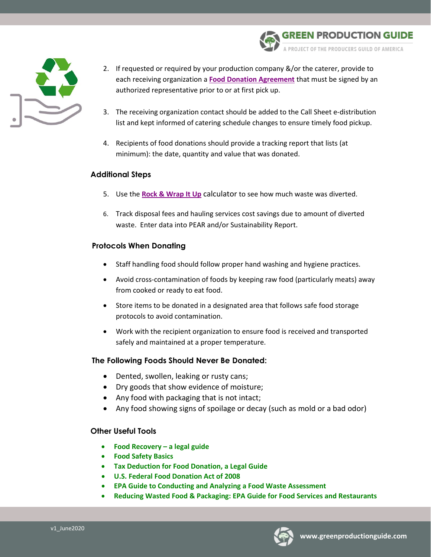

- 2. If requested or required by your production company &/or the caterer, provide to each receiving organization a **[Food Donation Agreement](http://www.greenproductionguide.com/wp-content/uploads/2014/07/Food-Donation-Agreement_2014.pdf)** that must be signed by an authorized representative prior to or at first pick up.
- 3. The receiving organization contact should be added to the Call Sheet e-distribution list and kept informed of catering schedule changes to ensure timely food pickup.
- 4. Recipients of food donations should provide a tracking report that lists (at minimum): the date, quantity and value that was donated.

### **Additional Steps**

- 5. Use the **[Rock & Wrap It Up](http://rockandwrapitup.org/)** calculator to see how much waste was diverted.
- 6. Track disposal fees and hauling services cost savings due to amount of diverted waste. Enter data into PEAR and/or Sustainability Report.

### **Protocols When Donating**

- Staff handling food should follow proper hand washing and hygiene practices.
- Avoid cross-contamination of foods by keeping raw food (particularly meats) away from cooked or ready to eat food.
- Store items to be donated in a designated area that follows safe food storage protocols to avoid contamination.
- Work with the recipient organization to ensure food is received and transported safely and maintained at a proper temperature.

### **The Following Foods Should Never Be Donated:**

- Dented, swollen, leaking or rusty cans;
- Dry goods that show evidence of moisture;
- Any food with packaging that is not intact;
- Any food showing signs of spoilage or decay (such as mold or a bad odor)

#### **Other Useful Tools**

- **[Food Recovery –](https://law.uark.edu/documents/2013/06/Legal-Guide-To-Food-Recovery.pdf) a legal guide**
- **[Food Safety Basics](http://www.foodprotect.org/media/guide/food-recovery-final2007.pdf)**
- **[Tax Deduction for Food Donation, a Legal Guide](http://www.chlpi.org/wp-content/uploads/2013/12/Food-Donation-Fed-Tax-Guide-for-Pub-2.pdf)**
- **[U.S. Federal Food Donation Act of 2008](https://www.gpo.gov/fdsys/pkg/BILLS-110s2420enr/pdf/BILLS-110s2420enr.pdf)**
- **EPA [Guide to Conducting and Analyzing a Food Waste Assessment](https://www.epa.gov/sites/production/files/2015-08/documents/r5_fd_wste_guidebk_020615.pdf)**
- **[Reducing Wasted Food & Packaging: EPA Guide for Food Services and Restaurants](https://www.epa.gov/sites/production/files/2015-08/documents/reducing_wasted_food_pkg_tool.pdf)**



**EN PRODUCTION GUIDE** 

ROJECT OF THE PRODUCERS GUILD OF AMERICA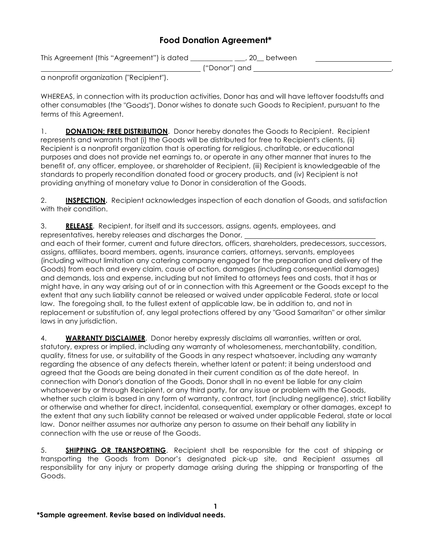## **Food Donation Agreement\***

This Agreement (this "Agreement") is dated \_\_\_\_\_\_\_\_\_\_\_\_ \_\_\_, 20\_\_ between

("Donor") and ,

a nonprofit organization ("Recipient").

WHEREAS, in connection with its production activities, Donor has and will have leftover foodstuffs and other consumables (the "Goods"). Donor wishes to donate such Goods to Recipient, pursuant to the terms of this Agreement.

1. **DONATION; FREE DISTRIBUTION**. Donor hereby donates the Goods to Recipient. Recipient represents and warrants that (i) the Goods will be distributed for free to Recipient's clients, (ii) Recipient is a nonprofit organization that is operating for religious, charitable, or educational purposes and does not provide net earnings to, or operate in any other manner that inures to the benefit of, any officer, employee, or shareholder of Recipient, (iii) Recipient is knowledgeable of the standards to properly recondition donated food or grocery products, and (iv) Recipient is not providing anything of monetary value to Donor in consideration of the Goods.

2. **INSPECTION.** Recipient acknowledges inspection of each donation of Goods, and satisfaction with their condition.

3. **RELEASE**. Recipient, for itself and its successors, assigns, agents, employees, and representatives, hereby releases and discharges the Donor,

and each of their former, current and future directors, officers, shareholders, predecessors, successors, assigns, affiliates, board members, agents, insurance carriers, attorneys, servants, employees (including without limitation any catering company engaged for the preparation and delivery of the Goods) from each and every claim, cause of action, damages (including consequential damages) and demands, loss and expense, including but not limited to attorneys fees and costs, that it has or might have, in any way arising out of or in connection with this Agreement or the Goods except to the extent that any such liability cannot be released or waived under applicable Federal, state or local law. The foregoing shall, to the fullest extent of applicable law, be in addition to, and not in replacement or substitution of, any legal protections offered by any "Good Samaritan" or other similar laws in any jurisdiction.

4. **WARRANTY DISCLAIMER**. Donor hereby expressly disclaims all warranties, written or oral, statutory, express or implied, including any warranty of wholesomeness, merchantability, condition, quality, fitness for use, or suitability of the Goods in any respect whatsoever, including any warranty regarding the absence of any defects therein, whether latent or patent; it being understood and agreed that the Goods are being donated in their current condition as of the date hereof. In connection with Donor's donation of the Goods, Donor shall in no event be liable for any claim whatsoever by or through Recipient, or any third party, for any issue or problem with the Goods, whether such claim is based in any form of warranty, contract, tort (including negligence), strict liability or otherwise and whether for direct, incidental, consequential, exemplary or other damages, except to the extent that any such liability cannot be released or waived under applicable Federal, state or local law. Donor neither assumes nor authorize any person to assume on their behalf any liability in connection with the use or reuse of the Goods.

5. **SHIPPING OR TRANSPORTING**. Recipient shall be responsible for the cost of shipping or transporting the Goods from Donor's designated pick-up site, and Recipient assumes all responsibility for any injury or property damage arising during the shipping or transporting of the Goods.

**1**